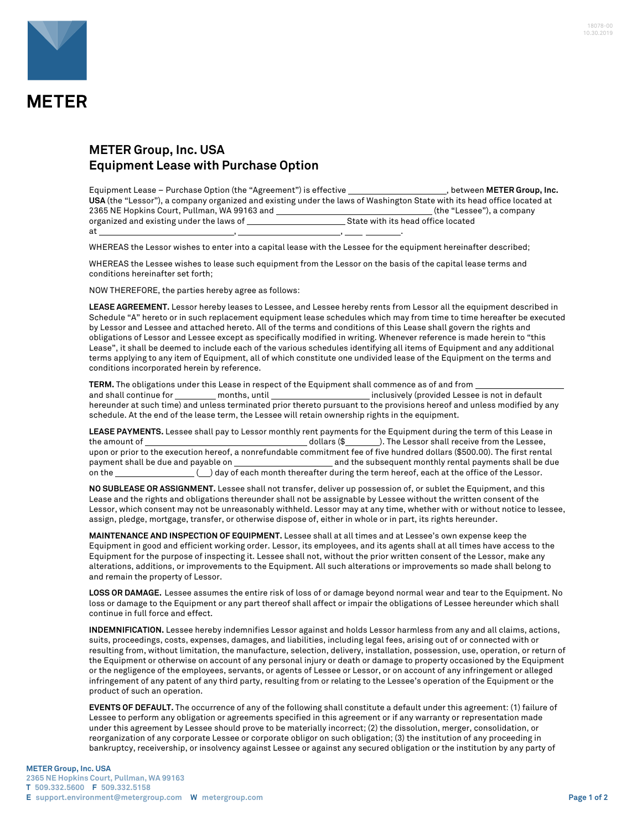

## **METER Group, Inc. USA Equipment Lease with Purchase Option**

Equipment Lease – Purchase Option (the "Agreement") is effective *purplement* , between **METER Group, Inc. USA** (the "Lessor"), a company organized and existing under the laws of Washington State with its head office located at 2365 NE Hopkins Court, Pullman, WA 99163 and (the "Lessee"), a company organized and existing under the laws of at , , .

WHEREAS the Lessor wishes to enter into a capital lease with the Lessee for the equipment hereinafter described;

WHEREAS the Lessee wishes to lease such equipment from the Lessor on the basis of the capital lease terms and conditions hereinafter set forth;

NOW THEREFORE, the parties hereby agree as follows:

**LEASE AGREEMENT.** Lessor hereby leases to Lessee, and Lessee hereby rents from Lessor all the equipment described in Schedule "A" hereto or in such replacement equipment lease schedules which may from time to time hereafter be executed by Lessor and Lessee and attached hereto. All of the terms and conditions of this Lease shall govern the rights and obligations of Lessor and Lessee except as specifically modified in writing. Whenever reference is made herein to "this Lease", it shall be deemed to include each of the various schedules identifying all items of Equipment and any additional terms applying to any item of Equipment, all of which constitute one undivided lease of the Equipment on the terms and conditions incorporated herein by reference.

**TERM.** The obligations under this Lease in respect of the Equipment shall commence as of and from

and shall continue for months, until months, until inclusively (provided Lessee is not in default hereunder at such time) and unless terminated prior thereto pursuant to the provisions hereof and unless modified by any schedule. At the end of the lease term, the Lessee will retain ownership rights in the equipment.

**LEASE PAYMENTS.** Lessee shall pay to Lessor monthly rent payments for the Equipment during the term of this Lease in the amount of dollars (\$ ). The Lessor shall receive from the Lessee, upon or prior to the execution hereof, a nonrefundable commitment fee of five hundred dollars (\$500.00). The first rental payment shall be due and payable on and the subsequent monthly rental payments shall be due on the \_\_\_\_\_\_\_\_\_\_\_\_\_\_\_\_\_( ) day of each month thereafter during the term hereof, each at the office of the Lessor.

**NO SUBLEASE OR ASSIGNMENT.** Lessee shall not transfer, deliver up possession of, or sublet the Equipment, and this Lease and the rights and obligations thereunder shall not be assignable by Lessee without the written consent of the Lessor, which consent may not be unreasonably withheld. Lessor may at any time, whether with or without notice to lessee, assign, pledge, mortgage, transfer, or otherwise dispose of, either in whole or in part, its rights hereunder.

**MAINTENANCE AND INSPECTION OF EQUIPMENT.** Lessee shall at all times and at Lessee's own expense keep the Equipment in good and efficient working order. Lessor, its employees, and its agents shall at all times have access to the Equipment for the purpose of inspecting it. Lessee shall not, without the prior written consent of the Lessor, make any alterations, additions, or improvements to the Equipment. All such alterations or improvements so made shall belong to and remain the property of Lessor.

**LOSS OR DAMAGE.** Lessee assumes the entire risk of loss of or damage beyond normal wear and tear to the Equipment. No loss or damage to the Equipment or any part thereof shall affect or impair the obligations of Lessee hereunder which shall continue in full force and effect.

**INDEMNIFICATION.** Lessee hereby indemnifies Lessor against and holds Lessor harmless from any and all claims, actions, suits, proceedings, costs, expenses, damages, and liabilities, including legal fees, arising out of or connected with or resulting from, without limitation, the manufacture, selection, delivery, installation, possession, use, operation, or return of the Equipment or otherwise on account of any personal injury or death or damage to property occasioned by the Equipment or the negligence of the employees, servants, or agents of Lessee or Lessor, or on account of any infringement or alleged infringement of any patent of any third party, resulting from or relating to the Lessee's operation of the Equipment or the product of such an operation.

**EVENTS OF DEFAULT.** The occurrence of any of the following shall constitute a default under this agreement: (1) failure of Lessee to perform any obligation or agreements specified in this agreement or if any warranty or representation made under this agreement by Lessee should prove to be materially incorrect; (2) the dissolution, merger, consolidation, or reorganization of any corporate Lessee or corporate obligor on such obligation; (3) the institution of any proceeding in bankruptcy, receivership, or insolvency against Lessee or against any secured obligation or the institution by any party of